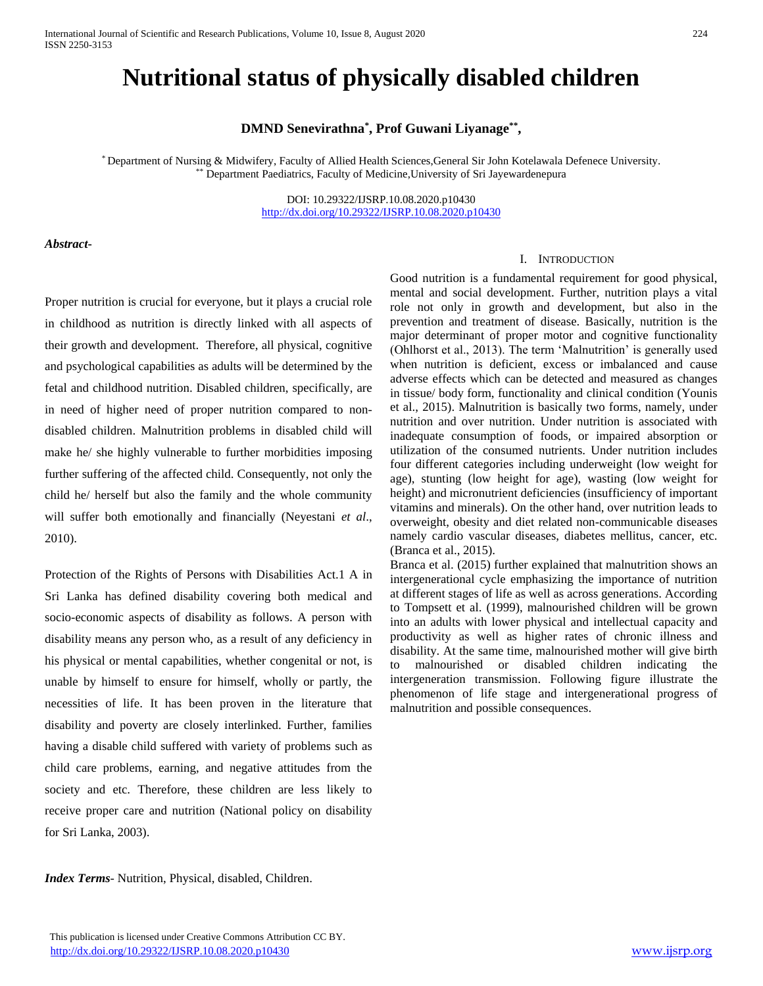# **Nutritional status of physically disabled children**

# **DMND Senevirathna\* , Prof Guwani Liyanage\*\* ,**

\* Department of Nursing & Midwifery, Faculty of Allied Health Sciences,General Sir John Kotelawala Defenece University. \*\* Department Paediatrics, Faculty of Medicine,University of Sri Jayewardenepura

> DOI: 10.29322/IJSRP.10.08.2020.p10430 <http://dx.doi.org/10.29322/IJSRP.10.08.2020.p10430>

### *Abstract***-**

Proper nutrition is crucial for everyone, but it plays a crucial role in childhood as nutrition is directly linked with all aspects of their growth and development. Therefore, all physical, cognitive and psychological capabilities as adults will be determined by the fetal and childhood nutrition. Disabled children, specifically, are in need of higher need of proper nutrition compared to nondisabled children. Malnutrition problems in disabled child will make he/ she highly vulnerable to further morbidities imposing further suffering of the affected child. Consequently, not only the child he/ herself but also the family and the whole community will suffer both emotionally and financially (Neyestani *et al*., 2010).

Protection of the Rights of Persons with Disabilities Act.1 A in Sri Lanka has defined disability covering both medical and socio-economic aspects of disability as follows. A person with disability means any person who, as a result of any deficiency in his physical or mental capabilities, whether congenital or not, is unable by himself to ensure for himself, wholly or partly, the necessities of life. It has been proven in the literature that disability and poverty are closely interlinked. Further, families having a disable child suffered with variety of problems such as child care problems, earning, and negative attitudes from the society and etc. Therefore, these children are less likely to receive proper care and nutrition (National policy on disability for Sri Lanka, 2003).

#### I. INTRODUCTION

Good nutrition is a fundamental requirement for good physical, mental and social development. Further, nutrition plays a vital role not only in growth and development, but also in the prevention and treatment of disease. Basically, nutrition is the major determinant of proper motor and cognitive functionality (Ohlhorst et al., 2013). The term 'Malnutrition' is generally used when nutrition is deficient, excess or imbalanced and cause adverse effects which can be detected and measured as changes in tissue/ body form, functionality and clinical condition (Younis et al., 2015). Malnutrition is basically two forms, namely, under nutrition and over nutrition. Under nutrition is associated with inadequate consumption of foods, or impaired absorption or utilization of the consumed nutrients. Under nutrition includes four different categories including underweight (low weight for age), stunting (low height for age), wasting (low weight for height) and micronutrient deficiencies (insufficiency of important vitamins and minerals). On the other hand, over nutrition leads to overweight, obesity and diet related non-communicable diseases namely cardio vascular diseases, diabetes mellitus, cancer, etc. (Branca et al., 2015).

Branca et al. (2015) further explained that malnutrition shows an intergenerational cycle emphasizing the importance of nutrition at different stages of life as well as across generations. According to Tompsett et al. (1999), malnourished children will be grown into an adults with lower physical and intellectual capacity and productivity as well as higher rates of chronic illness and disability. At the same time, malnourished mother will give birth to malnourished or disabled children indicating the intergeneration transmission. Following figure illustrate the phenomenon of life stage and intergenerational progress of malnutrition and possible consequences.

*Index Terms*- Nutrition, Physical, disabled, Children.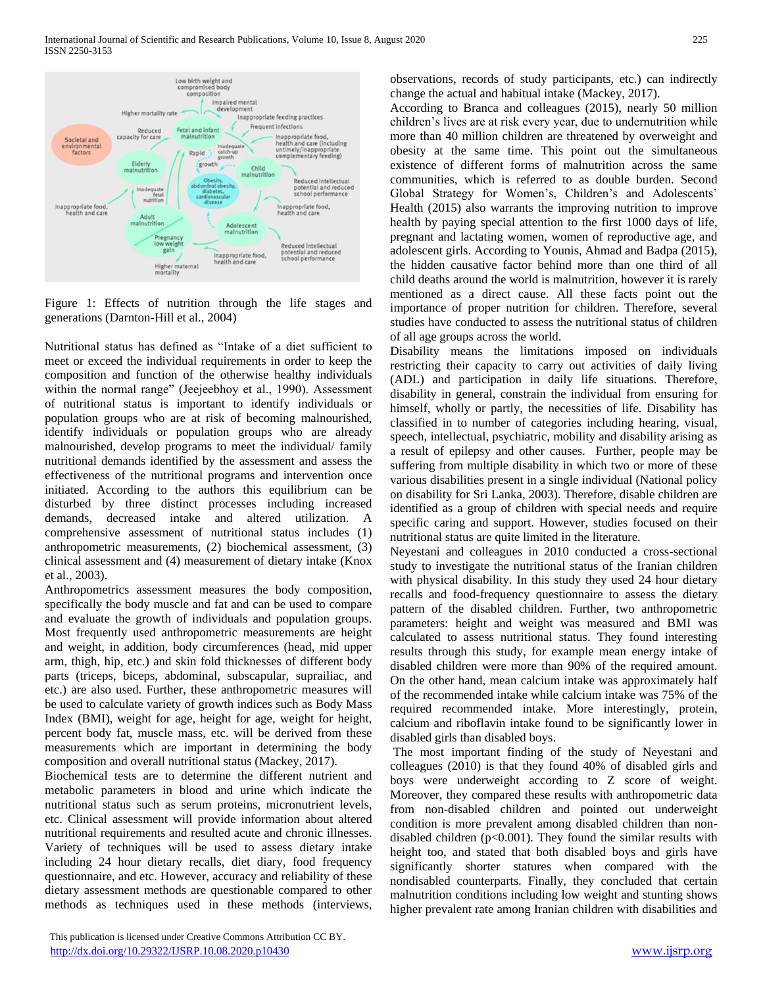

Figure 1: Effects of nutrition through the life stages and generations (Darnton-Hill et al., 2004)

Nutritional status has defined as "Intake of a diet sufficient to meet or exceed the individual requirements in order to keep the composition and function of the otherwise healthy individuals within the normal range" (Jeejeebhoy et al., 1990). Assessment of nutritional status is important to identify individuals or population groups who are at risk of becoming malnourished, identify individuals or population groups who are already malnourished, develop programs to meet the individual/ family nutritional demands identified by the assessment and assess the effectiveness of the nutritional programs and intervention once initiated. According to the authors this equilibrium can be disturbed by three distinct processes including increased demands, decreased intake and altered utilization. A comprehensive assessment of nutritional status includes (1) anthropometric measurements, (2) biochemical assessment, (3) clinical assessment and (4) measurement of dietary intake (Knox et al., 2003).

Anthropometrics assessment measures the body composition, specifically the body muscle and fat and can be used to compare and evaluate the growth of individuals and population groups. Most frequently used anthropometric measurements are height and weight, in addition, body circumferences (head, mid upper arm, thigh, hip, etc.) and skin fold thicknesses of different body parts (triceps, biceps, abdominal, subscapular, suprailiac, and etc.) are also used. Further, these anthropometric measures will be used to calculate variety of growth indices such as Body Mass Index (BMI), weight for age, height for age, weight for height, percent body fat, muscle mass, etc. will be derived from these measurements which are important in determining the body composition and overall nutritional status (Mackey, 2017).

Biochemical tests are to determine the different nutrient and metabolic parameters in blood and urine which indicate the nutritional status such as serum proteins, micronutrient levels, etc. Clinical assessment will provide information about altered nutritional requirements and resulted acute and chronic illnesses. Variety of techniques will be used to assess dietary intake including 24 hour dietary recalls, diet diary, food frequency questionnaire, and etc. However, accuracy and reliability of these dietary assessment methods are questionable compared to other methods as techniques used in these methods (interviews,

 This publication is licensed under Creative Commons Attribution CC BY. <http://dx.doi.org/10.29322/IJSRP.10.08.2020.p10430> [www.ijsrp.org](http://ijsrp.org/)

observations, records of study participants, etc.) can indirectly change the actual and habitual intake (Mackey, 2017).

According to Branca and colleagues (2015), nearly 50 million children's lives are at risk every year, due to undernutrition while more than 40 million children are threatened by overweight and obesity at the same time. This point out the simultaneous existence of different forms of malnutrition across the same communities, which is referred to as double burden. Second Global Strategy for Women's, Children's and Adolescents' Health (2015) also warrants the improving nutrition to improve health by paying special attention to the first 1000 days of life, pregnant and lactating women, women of reproductive age, and adolescent girls. According to Younis, Ahmad and Badpa (2015), the hidden causative factor behind more than one third of all child deaths around the world is malnutrition, however it is rarely mentioned as a direct cause. All these facts point out the importance of proper nutrition for children. Therefore, several studies have conducted to assess the nutritional status of children of all age groups across the world.

Disability means the limitations imposed on individuals restricting their capacity to carry out activities of daily living (ADL) and participation in daily life situations. Therefore, disability in general, constrain the individual from ensuring for himself, wholly or partly, the necessities of life. Disability has classified in to number of categories including hearing, visual, speech, intellectual, psychiatric, mobility and disability arising as a result of epilepsy and other causes. Further, people may be suffering from multiple disability in which two or more of these various disabilities present in a single individual (National policy on disability for Sri Lanka, 2003). Therefore, disable children are identified as a group of children with special needs and require specific caring and support. However, studies focused on their nutritional status are quite limited in the literature.

Neyestani and colleagues in 2010 conducted a cross-sectional study to investigate the nutritional status of the Iranian children with physical disability. In this study they used 24 hour dietary recalls and food-frequency questionnaire to assess the dietary pattern of the disabled children. Further, two anthropometric parameters: height and weight was measured and BMI was calculated to assess nutritional status. They found interesting results through this study, for example mean energy intake of disabled children were more than 90% of the required amount. On the other hand, mean calcium intake was approximately half of the recommended intake while calcium intake was 75% of the required recommended intake. More interestingly, protein, calcium and riboflavin intake found to be significantly lower in disabled girls than disabled boys.

The most important finding of the study of Neyestani and colleagues (2010) is that they found 40% of disabled girls and boys were underweight according to Z score of weight. Moreover, they compared these results with anthropometric data from non-disabled children and pointed out underweight condition is more prevalent among disabled children than nondisabled children  $(p<0.001)$ . They found the similar results with height too, and stated that both disabled boys and girls have significantly shorter statures when compared with the nondisabled counterparts. Finally, they concluded that certain malnutrition conditions including low weight and stunting shows higher prevalent rate among Iranian children with disabilities and